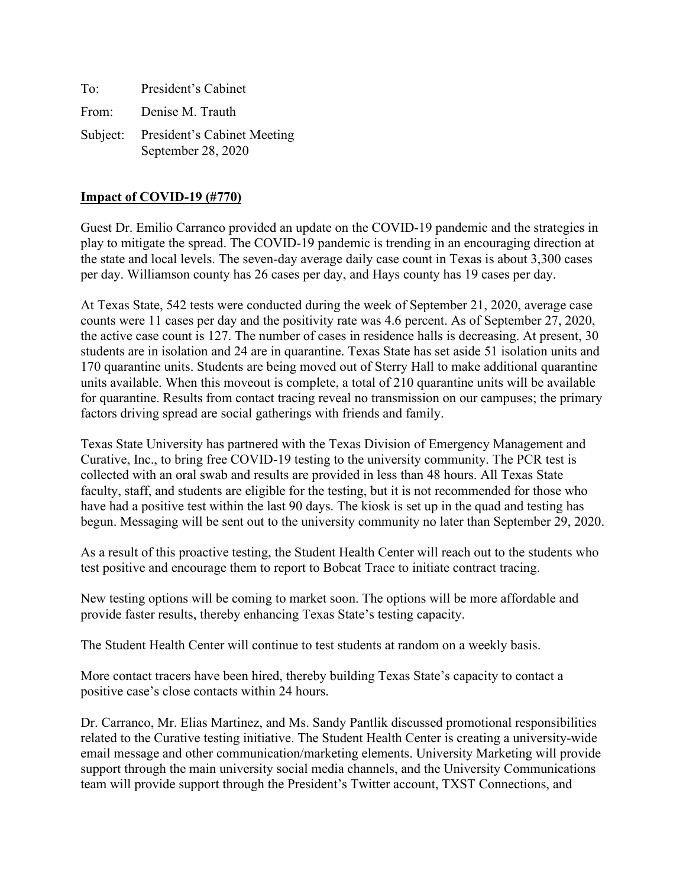To: President's Cabinet From: Denise M. Trauth Subject: President's Cabinet Meeting September 28, 2020

### **Impact of COVID-19 (#770)**

Guest Dr. Emilio Carranco provided an update on the COVID-19 pandemic and the strategies in play to mitigate the spread. The COVID-19 pandemic is trending in an encouraging direction at the state and local levels. The seven-day average daily case count in Texas is about 3,300 cases per day. Williamson county has 26 cases per day, and Hays county has 19 cases per day.

At Texas State, 542 tests were conducted during the week of September 21, 2020, average case counts were 11 cases per day and the positivity rate was 4.6 percent. As of September 27, 2020, the active case count is 127. The number of cases in residence halls is decreasing. At present, 30 students are in isolation and 24 are in quarantine. Texas State has set aside 51 isolation units and 170 quarantine units. Students are being moved out of Sterry Hall to make additional quarantine units available. When this moveout is complete, a total of 210 quarantine units will be available for quarantine. Results from contact tracing reveal no transmission on our campuses; the primary factors driving spread are social gatherings with friends and family.

Texas State University has partnered with the Texas Division of Emergency Management and Curative, Inc., to bring free COVID-19 testing to the university community. The PCR test is collected with an oral swab and results are provided in less than 48 hours. All Texas State faculty, staff, and students are eligible for the testing, but it is not recommended for those who have had a positive test within the last 90 days. The kiosk is set up in the quad and testing has begun. Messaging will be sent out to the university community no later than September 29, 2020.

As a result of this proactive testing, the Student Health Center will reach out to the students who test positive and encourage them to report to Bobcat Trace to initiate contract tracing.

New testing options will be coming to market soon. The options will be more affordable and provide faster results, thereby enhancing Texas State's testing capacity.

The Student Health Center will continue to test students at random on a weekly basis.

More contact tracers have been hired, thereby building Texas State's capacity to contact a positive case's close contacts within 24 hours.

Dr. Carranco, Mr. Elias Martinez, and Ms. Sandy Pantlik discussed promotional responsibilities related to the Curative testing initiative. The Student Health Center is creating a university-wide email message and other communication/marketing elements. University Marketing will provide support through the main university social media channels, and the University Communications team will provide support through the President's Twitter account, TXST Connections, and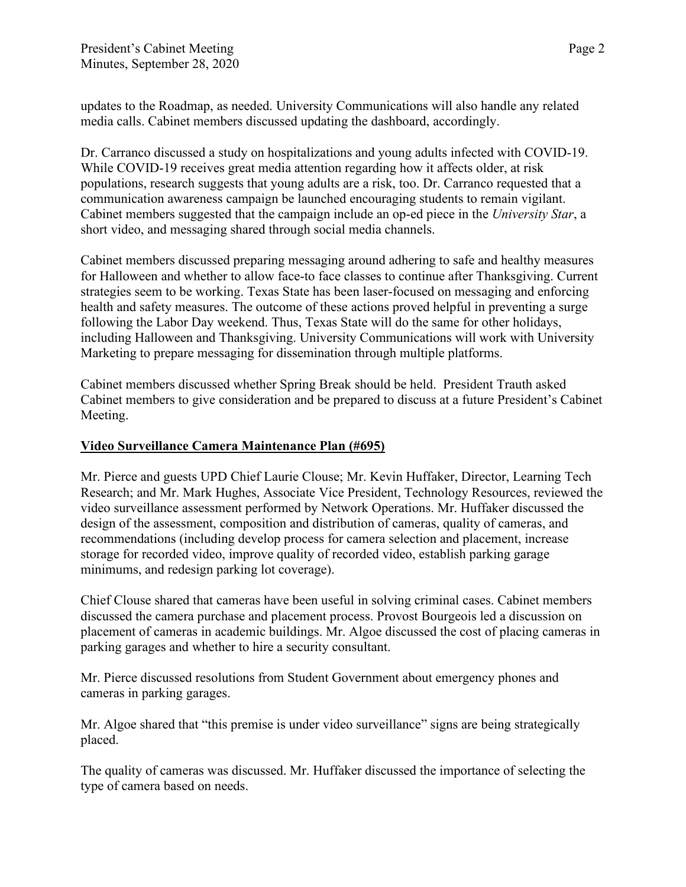updates to the Roadmap, as needed. University Communications will also handle any related media calls. Cabinet members discussed updating the dashboard, accordingly.

Dr. Carranco discussed a study on hospitalizations and young adults infected with COVID-19. While COVID-19 receives great media attention regarding how it affects older, at risk populations, research suggests that young adults are a risk, too. Dr. Carranco requested that a communication awareness campaign be launched encouraging students to remain vigilant. Cabinet members suggested that the campaign include an op-ed piece in the *University Star*, a short video, and messaging shared through social media channels.

Cabinet members discussed preparing messaging around adhering to safe and healthy measures for Halloween and whether to allow face-to face classes to continue after Thanksgiving. Current strategies seem to be working. Texas State has been laser-focused on messaging and enforcing health and safety measures. The outcome of these actions proved helpful in preventing a surge following the Labor Day weekend. Thus, Texas State will do the same for other holidays, including Halloween and Thanksgiving. University Communications will work with University Marketing to prepare messaging for dissemination through multiple platforms.

Cabinet members discussed whether Spring Break should be held. President Trauth asked Cabinet members to give consideration and be prepared to discuss at a future President's Cabinet Meeting.

### **Video Surveillance Camera Maintenance Plan (#695)**

Mr. Pierce and guests UPD Chief Laurie Clouse; Mr. Kevin Huffaker, Director, Learning Tech Research; and Mr. Mark Hughes, Associate Vice President, Technology Resources, reviewed the video surveillance assessment performed by Network Operations. Mr. Huffaker discussed the design of the assessment, composition and distribution of cameras, quality of cameras, and recommendations (including develop process for camera selection and placement, increase storage for recorded video, improve quality of recorded video, establish parking garage minimums, and redesign parking lot coverage).

Chief Clouse shared that cameras have been useful in solving criminal cases. Cabinet members discussed the camera purchase and placement process. Provost Bourgeois led a discussion on placement of cameras in academic buildings. Mr. Algoe discussed the cost of placing cameras in parking garages and whether to hire a security consultant.

Mr. Pierce discussed resolutions from Student Government about emergency phones and cameras in parking garages.

Mr. Algoe shared that "this premise is under video surveillance" signs are being strategically placed.

The quality of cameras was discussed. Mr. Huffaker discussed the importance of selecting the type of camera based on needs.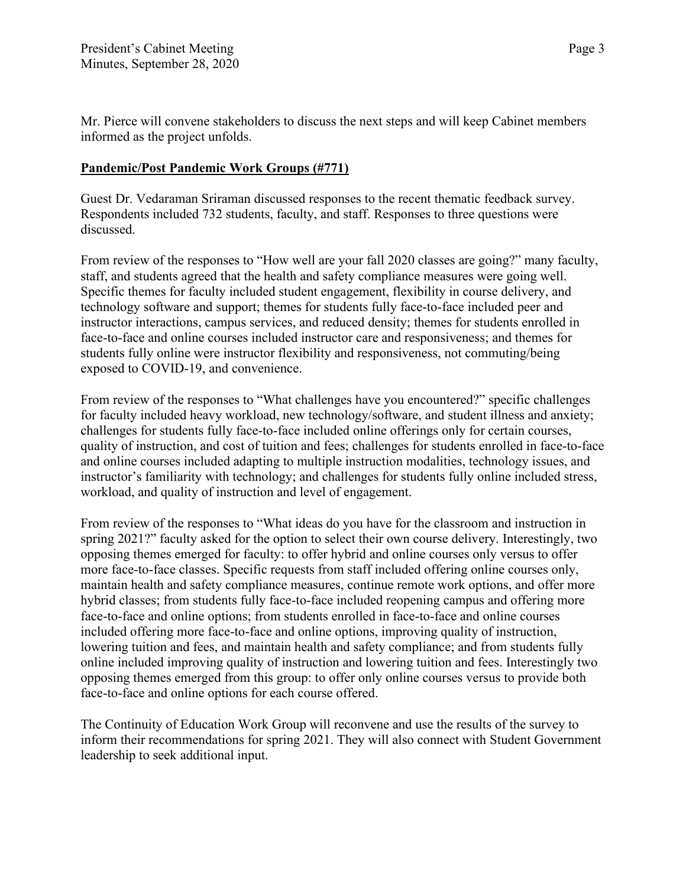Mr. Pierce will convene stakeholders to discuss the next steps and will keep Cabinet members informed as the project unfolds.

#### **Pandemic/Post Pandemic Work Groups (#771)**

Guest Dr. Vedaraman Sriraman discussed responses to the recent thematic feedback survey. Respondents included 732 students, faculty, and staff. Responses to three questions were discussed.

From review of the responses to "How well are your fall 2020 classes are going?" many faculty, staff, and students agreed that the health and safety compliance measures were going well. Specific themes for faculty included student engagement, flexibility in course delivery, and technology software and support; themes for students fully face-to-face included peer and instructor interactions, campus services, and reduced density; themes for students enrolled in face-to-face and online courses included instructor care and responsiveness; and themes for students fully online were instructor flexibility and responsiveness, not commuting/being exposed to COVID-19, and convenience.

From review of the responses to "What challenges have you encountered?" specific challenges for faculty included heavy workload, new technology/software, and student illness and anxiety; challenges for students fully face-to-face included online offerings only for certain courses, quality of instruction, and cost of tuition and fees; challenges for students enrolled in face-to-face and online courses included adapting to multiple instruction modalities, technology issues, and instructor's familiarity with technology; and challenges for students fully online included stress, workload, and quality of instruction and level of engagement.

From review of the responses to "What ideas do you have for the classroom and instruction in spring 2021?" faculty asked for the option to select their own course delivery. Interestingly, two opposing themes emerged for faculty: to offer hybrid and online courses only versus to offer more face-to-face classes. Specific requests from staff included offering online courses only, maintain health and safety compliance measures, continue remote work options, and offer more hybrid classes; from students fully face-to-face included reopening campus and offering more face-to-face and online options; from students enrolled in face-to-face and online courses included offering more face-to-face and online options, improving quality of instruction, lowering tuition and fees, and maintain health and safety compliance; and from students fully online included improving quality of instruction and lowering tuition and fees. Interestingly two opposing themes emerged from this group: to offer only online courses versus to provide both face-to-face and online options for each course offered.

The Continuity of Education Work Group will reconvene and use the results of the survey to inform their recommendations for spring 2021. They will also connect with Student Government leadership to seek additional input.